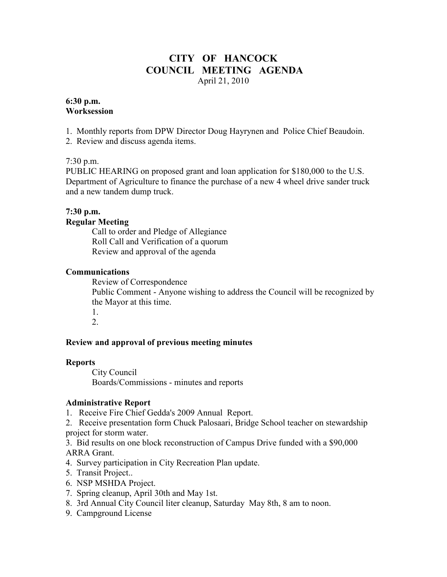# **CITY OF HANCOCK COUNCIL MEETING AGENDA**  April 21, 2010

#### **6:30 p.m. Worksession**

1. Monthly reports from DPW Director Doug Hayrynen and Police Chief Beaudoin.

2. Review and discuss agenda items.

### 7:30 p.m.

PUBLIC HEARING on proposed grant and loan application for \$180,000 to the U.S. Department of Agriculture to finance the purchase of a new 4 wheel drive sander truck and a new tandem dump truck.

### **7:30 p.m.**

### **Regular Meeting**

 Call to order and Pledge of Allegiance Roll Call and Verification of a quorum Review and approval of the agenda

#### **Communications**

 Review of Correspondence Public Comment - Anyone wishing to address the Council will be recognized by the Mayor at this time.

 1. 2.

### **Review and approval of previous meeting minutes**

### **Reports**

City Council Boards/Commissions - minutes and reports

### **Administrative Report**

1. Receive Fire Chief Gedda's 2009 Annual Report.

2. Receive presentation form Chuck Palosaari, Bridge School teacher on stewardship project for storm water.

3. Bid results on one block reconstruction of Campus Drive funded with a \$90,000 ARRA Grant.

- 4. Survey participation in City Recreation Plan update.
- 5. Transit Project..
- 6. NSP MSHDA Project.
- 7. Spring cleanup, April 30th and May 1st.
- 8. 3rd Annual City Council liter cleanup, Saturday May 8th, 8 am to noon.
- 9. Campground License